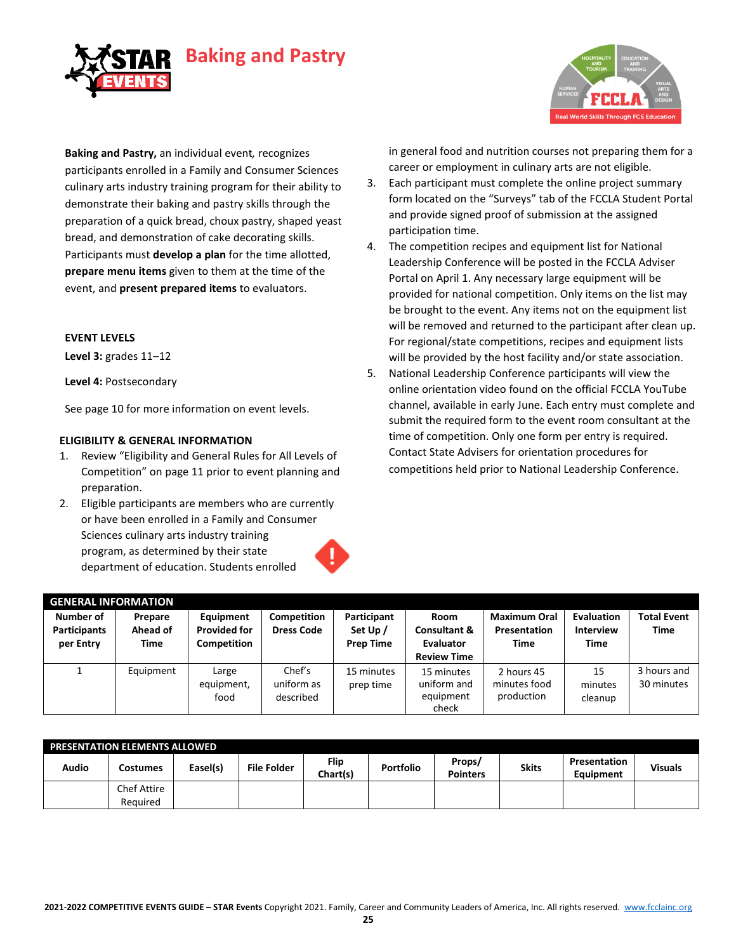



**Baking and Pastry,** an individual event*,* recognizes participants enrolled in a Family and Consumer Sciences culinary arts industry training program for their ability to demonstrate their baking and pastry skills through the preparation of a quick bread, choux pastry, shaped yeast bread, and demonstration of cake decorating skills. Participants must **develop a plan** for the time allotted, **prepare menu items** given to them at the time of the event, and **present prepared items** to evaluators.

#### **EVENT LEVELS**

**Level 3:** grades 11–12

**Level 4:** Postsecondary

See page 10 for more information on event levels.

#### **ELIGIBILITY & GENERAL INFORMATION**

- 1. Review "Eligibility and General Rules for All Levels of Competition" on page 11 prior to event planning and preparation.
- 2. Eligible participants are members who are currently or have been enrolled in a Family and Consumer Sciences culinary arts industry training program, as determined by their state department of education. Students enrolled

in general food and nutrition courses not preparing them for a career or employment in culinary arts are not eligible.

- 3. Each participant must complete the online project summary form located on the "Surveys" tab of the FCCLA Student Portal and provide signed proof of submission at the assigned participation time.
- 4. The competition recipes and equipment list for National Leadership Conference will be posted in the FCCLA Adviser Portal on April 1. Any necessary large equipment will be provided for national competition. Only items on the list may be brought to the event. Any items not on the equipment list will be removed and returned to the participant after clean up. For regional/state competitions, recipes and equipment lists will be provided by the host facility and/or state association.
- 5. National Leadership Conference participants will view the online orientation video found on the official FCCLA YouTube channel, available in early June. Each entry must complete and submit the required form to the event room consultant at the time of competition. Only one form per entry is required. Contact State Advisers for orientation procedures for competitions held prior to National Leadership Conference.

| <b>GENERAL INFORMATION</b>                    |                             |                                                 |                                   |                                             |                                                                    |                                                    |                                               |                                   |
|-----------------------------------------------|-----------------------------|-------------------------------------------------|-----------------------------------|---------------------------------------------|--------------------------------------------------------------------|----------------------------------------------------|-----------------------------------------------|-----------------------------------|
| Number of<br><b>Participants</b><br>per Entry | Prepare<br>Ahead of<br>Time | Equipment<br><b>Provided for</b><br>Competition | Competition<br><b>Dress Code</b>  | Participant<br>Set Up /<br><b>Prep Time</b> | Room<br><b>Consultant &amp;</b><br>Evaluator<br><b>Review Time</b> | <b>Maximum Oral</b><br>Presentation<br><b>Time</b> | Evaluation<br><b>Interview</b><br><b>Time</b> | <b>Total Event</b><br><b>Time</b> |
|                                               | Equipment                   | Large<br>equipment,<br>food                     | Chef's<br>uniform as<br>described | 15 minutes<br>prep time                     | 15 minutes<br>uniform and<br>equipment<br>check                    | 2 hours 45<br>minutes food<br>production           | 15<br>minutes<br>cleanup                      | 3 hours and<br>30 minutes         |

| <b>PRESENTATION ELEMENTS ALLOWED</b> |             |          |                    |                  |                  |                           |              |                           |                |
|--------------------------------------|-------------|----------|--------------------|------------------|------------------|---------------------------|--------------|---------------------------|----------------|
| Audio                                | Costumes    | Easel(s) | <b>File Folder</b> | Flip<br>Chart(s) | <b>Portfolio</b> | Props/<br><b>Pointers</b> | <b>Skits</b> | Presentation<br>Equipment | <b>Visuals</b> |
|                                      | Chef Attire |          |                    |                  |                  |                           |              |                           |                |
|                                      | Reauired    |          |                    |                  |                  |                           |              |                           |                |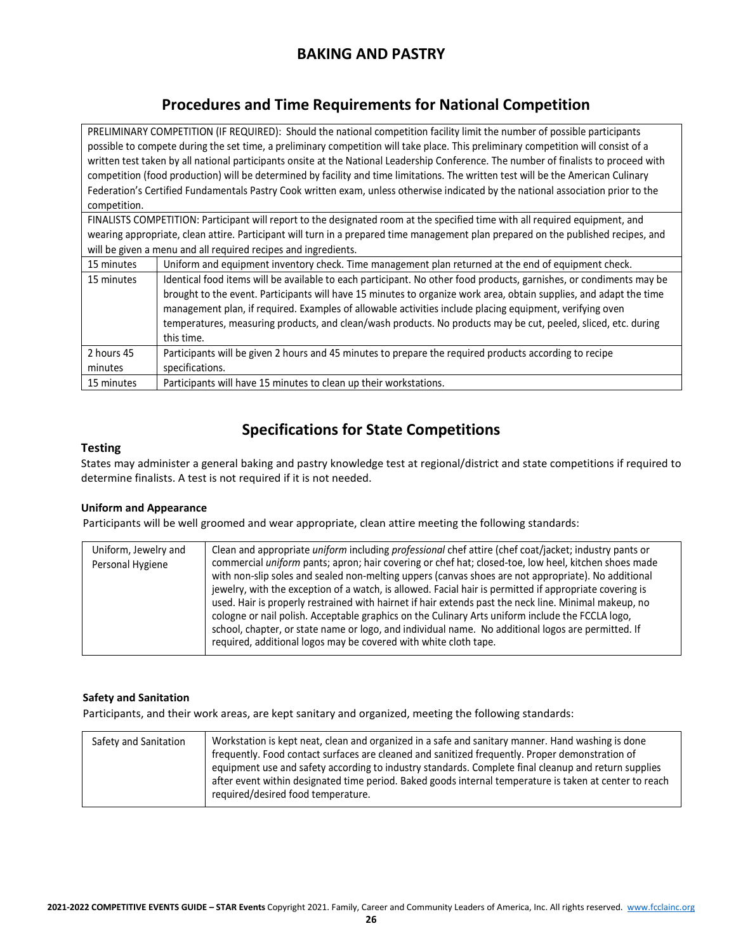## **BAKING AND PASTRY**

### **Procedures and Time Requirements for National Competition**

PRELIMINARY COMPETITION (IF REQUIRED): Should the national competition facility limit the number of possible participants possible to compete during the set time, a preliminary competition will take place. This preliminary competition will consist of a written test taken by all national participants onsite at the National Leadership Conference. The number of finalists to proceed with competition (food production) will be determined by facility and time limitations. The written test will be the American Culinary Federation's Certified Fundamentals Pastry Cook written exam, unless otherwise indicated by the national association prior to the competition.

FINALISTS COMPETITION: Participant will report to the designated room at the specified time with all required equipment, and wearing appropriate, clean attire. Participant will turn in a prepared time management plan prepared on the published recipes, and will be given a menu and all required recipes and ingredients.

| 15 minutes | Uniform and equipment inventory check. Time management plan returned at the end of equipment check.                 |
|------------|---------------------------------------------------------------------------------------------------------------------|
| 15 minutes | Identical food items will be available to each participant. No other food products, garnishes, or condiments may be |
|            | brought to the event. Participants will have 15 minutes to organize work area, obtain supplies, and adapt the time  |
|            | management plan, if required. Examples of allowable activities include placing equipment, verifying oven            |
|            | temperatures, measuring products, and clean/wash products. No products may be cut, peeled, sliced, etc. during      |
|            | this time.                                                                                                          |
| 2 hours 45 | Participants will be given 2 hours and 45 minutes to prepare the required products according to recipe              |
| minutes    | specifications.                                                                                                     |
| 15 minutes | Participants will have 15 minutes to clean up their workstations.                                                   |

### **Specifications for State Competitions**

#### **Testing**

States may administer a general baking and pastry knowledge test at regional/district and state competitions if required to determine finalists. A test is not required if it is not needed.

#### **Uniform and Appearance**

Participants will be well groomed and wear appropriate, clean attire meeting the following standards:

| Uniform, Jewelry and<br>Personal Hygiene | Clean and appropriate <i>uniform</i> including <i>professional</i> chef attire (chef coat/jacket; industry pants or<br>commercial <i>uniform</i> pants; apron; hair covering or chef hat; closed-toe, low heel, kitchen shoes made<br>with non-slip soles and sealed non-melting uppers (canvas shoes are not appropriate). No additional<br>jewelry, with the exception of a watch, is allowed. Facial hair is permitted if appropriate covering is<br>used. Hair is properly restrained with hairnet if hair extends past the neck line. Minimal makeup, no<br>cologne or nail polish. Acceptable graphics on the Culinary Arts uniform include the FCCLA logo,<br>school, chapter, or state name or logo, and individual name. No additional logos are permitted. If<br>required, additional logos may be covered with white cloth tape. |
|------------------------------------------|---------------------------------------------------------------------------------------------------------------------------------------------------------------------------------------------------------------------------------------------------------------------------------------------------------------------------------------------------------------------------------------------------------------------------------------------------------------------------------------------------------------------------------------------------------------------------------------------------------------------------------------------------------------------------------------------------------------------------------------------------------------------------------------------------------------------------------------------|
|------------------------------------------|---------------------------------------------------------------------------------------------------------------------------------------------------------------------------------------------------------------------------------------------------------------------------------------------------------------------------------------------------------------------------------------------------------------------------------------------------------------------------------------------------------------------------------------------------------------------------------------------------------------------------------------------------------------------------------------------------------------------------------------------------------------------------------------------------------------------------------------------|

#### **Safety and Sanitation**

Participants, and their work areas, are kept sanitary and organized, meeting the following standards:

| Safety and Sanitation | Workstation is kept neat, clean and organized in a safe and sanitary manner. Hand washing is done<br>frequently. Food contact surfaces are cleaned and sanitized frequently. Proper demonstration of<br>equipment use and safety according to industry standards. Complete final cleanup and return supplies<br>after event within designated time period. Baked goods internal temperature is taken at center to reach<br>required/desired food temperature. |
|-----------------------|---------------------------------------------------------------------------------------------------------------------------------------------------------------------------------------------------------------------------------------------------------------------------------------------------------------------------------------------------------------------------------------------------------------------------------------------------------------|
|-----------------------|---------------------------------------------------------------------------------------------------------------------------------------------------------------------------------------------------------------------------------------------------------------------------------------------------------------------------------------------------------------------------------------------------------------------------------------------------------------|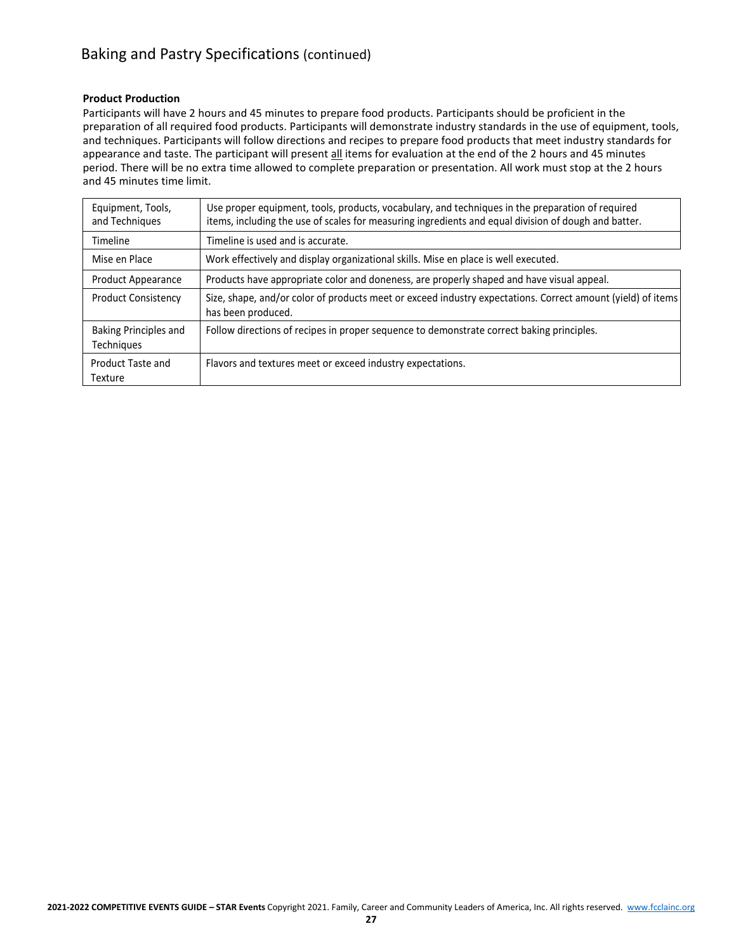## Baking and Pastry Specifications (continued)

#### **Product Production**

Participants will have 2 hours and 45 minutes to prepare food products. Participants should be proficient in the preparation of all required food products. Participants will demonstrate industry standards in the use of equipment, tools, and techniques. Participants will follow directions and recipes to prepare food products that meet industry standards for appearance and taste. The participant will present all items for evaluation at the end of the 2 hours and 45 minutes period. There will be no extra time allowed to complete preparation or presentation. All work must stop at the 2 hours and 45 minutes time limit.

| Equipment, Tools,<br>and Techniques | Use proper equipment, tools, products, vocabulary, and techniques in the preparation of required<br>items, including the use of scales for measuring ingredients and equal division of dough and batter. |
|-------------------------------------|----------------------------------------------------------------------------------------------------------------------------------------------------------------------------------------------------------|
| Timeline                            | Timeline is used and is accurate.                                                                                                                                                                        |
| Mise en Place                       | Work effectively and display organizational skills. Mise en place is well executed.                                                                                                                      |
| Product Appearance                  | Products have appropriate color and doneness, are properly shaped and have visual appeal.                                                                                                                |
| <b>Product Consistency</b>          | Size, shape, and/or color of products meet or exceed industry expectations. Correct amount (yield) of items<br>has been produced.                                                                        |
| Baking Principles and<br>Techniques | Follow directions of recipes in proper sequence to demonstrate correct baking principles.                                                                                                                |
| Product Taste and<br>Texture        | Flavors and textures meet or exceed industry expectations.                                                                                                                                               |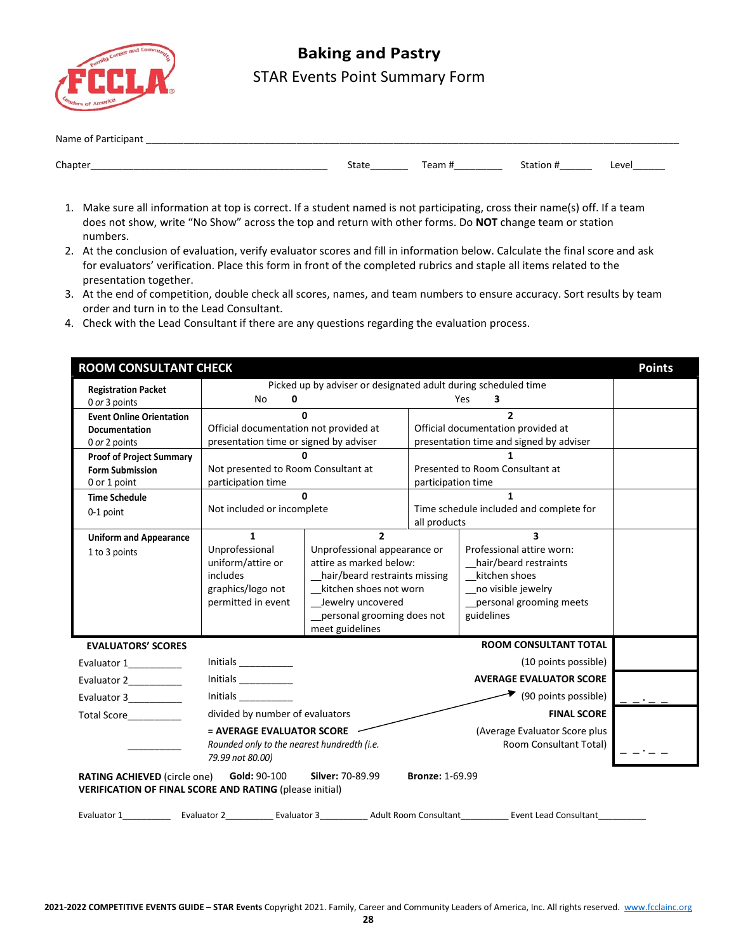

# **Baking and Pastry** STAR Events Point Summary Form

| <b>Name</b><br>$\overline{\phantom{a}}$<br>_______<br>_________ |       |       |  |       |  |
|-----------------------------------------------------------------|-------|-------|--|-------|--|
| Chapter                                                         |       | n n m |  |       |  |
| ________                                                        | σιαιτ |       |  | Leve' |  |

- 1. Make sure all information at top is correct. If a student named is not participating, cross their name(s) off. If a team does not show, write "No Show" across the top and return with other forms. Do **NOT** change team or station numbers.
- 2. At the conclusion of evaluation, verify evaluator scores and fill in information below. Calculate the final score and ask for evaluators' verification. Place this form in front of the completed rubrics and staple all items related to the presentation together.
- 3. At the end of competition, double check all scores, names, and team numbers to ensure accuracy. Sort results by team order and turn in to the Lead Consultant.
- 4. Check with the Lead Consultant if there are any questions regarding the evaluation process.

| <b>ROOM CONSULTANT CHECK</b><br><b>Points</b>              |                                                                                                                                                           |                                                                |                    |                                                                                                                                        |  |  |
|------------------------------------------------------------|-----------------------------------------------------------------------------------------------------------------------------------------------------------|----------------------------------------------------------------|--------------------|----------------------------------------------------------------------------------------------------------------------------------------|--|--|
| <b>Registration Packet</b>                                 |                                                                                                                                                           | Picked up by adviser or designated adult during scheduled time |                    |                                                                                                                                        |  |  |
| 0 or 3 points                                              | <b>No</b><br>0                                                                                                                                            |                                                                |                    | Yes<br>3                                                                                                                               |  |  |
| <b>Event Online Orientation</b>                            | $\Omega$                                                                                                                                                  |                                                                |                    | $\overline{2}$                                                                                                                         |  |  |
| <b>Documentation</b>                                       | Official documentation not provided at                                                                                                                    |                                                                |                    | Official documentation provided at                                                                                                     |  |  |
| 0 or 2 points                                              | presentation time or signed by adviser                                                                                                                    |                                                                |                    | presentation time and signed by adviser                                                                                                |  |  |
| <b>Proof of Project Summary</b><br><b>Form Submission</b>  | Not presented to Room Consultant at                                                                                                                       |                                                                |                    | Presented to Room Consultant at                                                                                                        |  |  |
| 0 or 1 point                                               | participation time                                                                                                                                        |                                                                | participation time |                                                                                                                                        |  |  |
| <b>Time Schedule</b>                                       |                                                                                                                                                           | <sup>0</sup>                                                   |                    | $\mathbf{1}$                                                                                                                           |  |  |
| 0-1 point                                                  | Not included or incomplete                                                                                                                                |                                                                |                    | Time schedule included and complete for                                                                                                |  |  |
|                                                            |                                                                                                                                                           |                                                                | all products       |                                                                                                                                        |  |  |
| <b>Uniform and Appearance</b>                              | $\mathbf{1}$                                                                                                                                              | $\overline{2}$                                                 |                    | $\overline{\mathbf{3}}$                                                                                                                |  |  |
| 1 to 3 points                                              | Unprofessional                                                                                                                                            | Unprofessional appearance or                                   |                    | Professional attire worn:                                                                                                              |  |  |
|                                                            | uniform/attire or<br>includes                                                                                                                             | attire as marked below:                                        |                    | hair/beard restraints                                                                                                                  |  |  |
|                                                            | graphics/logo not                                                                                                                                         | _hair/beard restraints missing<br>_kitchen shoes not worn      |                    | kitchen shoes<br>_no visible jewelry                                                                                                   |  |  |
|                                                            | permitted in event                                                                                                                                        | __ Jewelry uncovered                                           |                    | _personal grooming meets                                                                                                               |  |  |
|                                                            |                                                                                                                                                           | personal grooming does not                                     |                    | guidelines                                                                                                                             |  |  |
|                                                            |                                                                                                                                                           | meet guidelines                                                |                    |                                                                                                                                        |  |  |
| <b>EVALUATORS' SCORES</b>                                  |                                                                                                                                                           |                                                                |                    | <b>ROOM CONSULTANT TOTAL</b>                                                                                                           |  |  |
| Evaluator 1                                                | Initials $\_\_$                                                                                                                                           |                                                                |                    | (10 points possible)                                                                                                                   |  |  |
| Evaluator 2                                                | Initials                                                                                                                                                  |                                                                |                    | <b>AVERAGE EVALUATOR SCORE</b>                                                                                                         |  |  |
| Evaluator 3                                                | <i>Initials</i>                                                                                                                                           |                                                                |                    | $\blacktriangleright$ (90 points possible)                                                                                             |  |  |
| <b>Total Score</b>                                         |                                                                                                                                                           | divided by number of evaluators<br><b>FINAL SCORE</b>          |                    |                                                                                                                                        |  |  |
| = AVERAGE EVALUATOR SCORE<br>(Average Evaluator Score plus |                                                                                                                                                           |                                                                |                    |                                                                                                                                        |  |  |
|                                                            | Rounded only to the nearest hundredth (i.e.                                                                                                               |                                                                |                    | Room Consultant Total)                                                                                                                 |  |  |
|                                                            | 79.99 not 80.00)                                                                                                                                          |                                                                |                    |                                                                                                                                        |  |  |
|                                                            | Silver: 70-89.99<br><b>Bronze: 1-69.99</b><br>RATING ACHIEVED (circle one) Gold: 90-100<br><b>VERIFICATION OF FINAL SCORE AND RATING (please initial)</b> |                                                                |                    |                                                                                                                                        |  |  |
|                                                            |                                                                                                                                                           |                                                                |                    | Evaluator 1_______________ Evaluator 2______________Evaluator 3_______________Adult Room Consultant_____________Event Lead Consultant_ |  |  |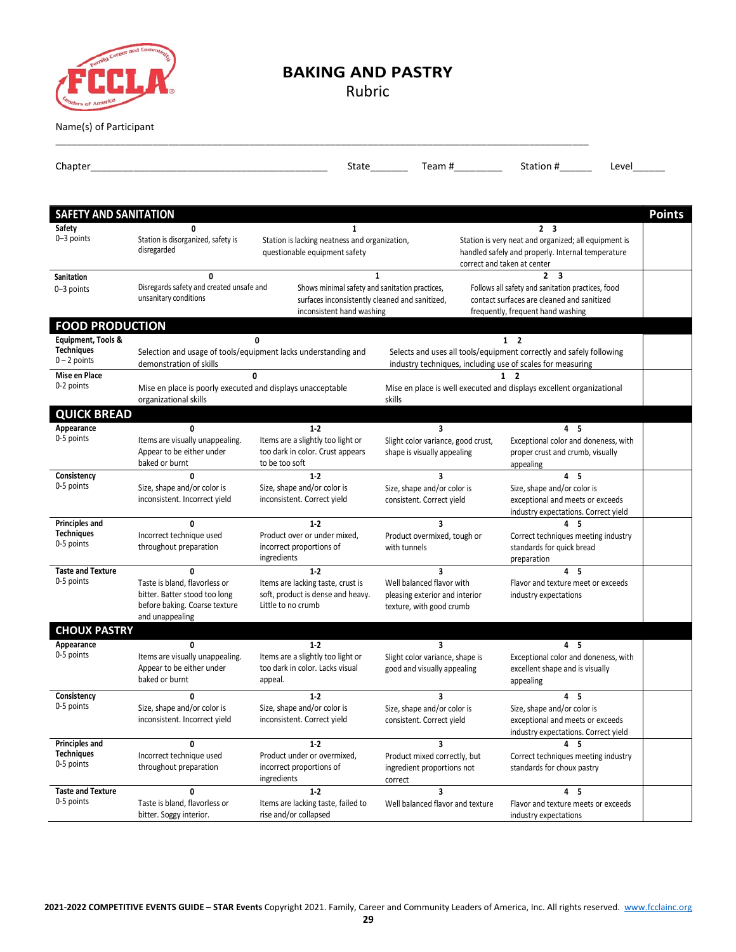

### **BAKING AND PASTRY**

Rubric

\_\_\_\_\_\_\_\_\_\_\_\_\_\_\_\_\_\_\_\_\_\_\_\_\_\_\_\_\_\_\_\_\_\_\_\_\_\_\_\_\_\_\_\_\_\_\_\_\_\_\_\_\_\_\_\_\_\_\_\_\_\_\_\_\_\_\_\_\_\_\_\_\_\_\_\_\_\_\_\_\_\_\_\_\_\_\_\_\_\_\_\_\_\_\_\_\_\_\_

Name(s) of Participant

| Chapter                             |                                                                                                                    |                                                                                              | State                                                                                                                             | Team # $\sqrt{ }$              | Station #                                                                                                                            | Level         |
|-------------------------------------|--------------------------------------------------------------------------------------------------------------------|----------------------------------------------------------------------------------------------|-----------------------------------------------------------------------------------------------------------------------------------|--------------------------------|--------------------------------------------------------------------------------------------------------------------------------------|---------------|
|                                     |                                                                                                                    |                                                                                              |                                                                                                                                   |                                |                                                                                                                                      |               |
| <b>SAFETY AND SANITATION</b>        |                                                                                                                    |                                                                                              |                                                                                                                                   |                                |                                                                                                                                      | <b>Points</b> |
| Safety                              | $\mathbf{0}$                                                                                                       | $\mathbf{1}$                                                                                 |                                                                                                                                   |                                | 2 <sub>3</sub>                                                                                                                       |               |
| 0-3 points                          | Station is disorganized, safety is<br>disregarded                                                                  | Station is lacking neatness and organization,<br>questionable equipment safety               |                                                                                                                                   | correct and taken at center    | Station is very neat and organized; all equipment is<br>handled safely and properly. Internal temperature                            |               |
| <b>Sanitation</b>                   | 0                                                                                                                  |                                                                                              | $\mathbf{1}$                                                                                                                      |                                | $\overline{\mathbf{3}}$<br>$\mathbf{2}$                                                                                              |               |
| 0-3 points                          | Disregards safety and created unsafe and<br>unsanitary conditions                                                  | Shows minimal safety and sanitation practices,<br>inconsistent hand washing                  | surfaces inconsistently cleaned and sanitized,                                                                                    |                                | Follows all safety and sanitation practices, food<br>contact surfaces are cleaned and sanitized<br>frequently, frequent hand washing |               |
| <b>FOOD PRODUCTION</b>              |                                                                                                                    |                                                                                              |                                                                                                                                   |                                |                                                                                                                                      |               |
| Equipment, Tools &                  |                                                                                                                    | $\mathbf{0}$                                                                                 |                                                                                                                                   | $1\quad 2$                     |                                                                                                                                      |               |
| <b>Techniques</b><br>$0 - 2$ points | demonstration of skills                                                                                            | Selection and usage of tools/equipment lacks understanding and                               | Selects and uses all tools/equipment correctly and safely following<br>industry techniques, including use of scales for measuring |                                |                                                                                                                                      |               |
| Mise en Place                       |                                                                                                                    | 0                                                                                            |                                                                                                                                   | $\overline{2}$<br>$\mathbf{1}$ |                                                                                                                                      |               |
| 0-2 points                          | Mise en place is poorly executed and displays unacceptable<br>organizational skills                                |                                                                                              | Mise en place is well executed and displays excellent organizational<br>skills                                                    |                                |                                                                                                                                      |               |
| <b>QUICK BREAD</b>                  |                                                                                                                    |                                                                                              |                                                                                                                                   |                                |                                                                                                                                      |               |
| Appearance                          | $\mathbf{0}$                                                                                                       | $1-2$                                                                                        | $\overline{\mathbf{3}}$                                                                                                           |                                | 4 <sub>5</sub>                                                                                                                       |               |
| 0-5 points                          | Items are visually unappealing.<br>Appear to be either under<br>baked or burnt                                     | Items are a slightly too light or<br>too dark in color. Crust appears<br>to be too soft      | Slight color variance, good crust,<br>shape is visually appealing                                                                 |                                | Exceptional color and doneness, with<br>proper crust and crumb, visually<br>appealing                                                |               |
| Consistency                         | $\Omega$                                                                                                           | $1-2$                                                                                        | 3                                                                                                                                 |                                | 4 <sub>5</sub>                                                                                                                       |               |
| 0-5 points                          | Size, shape and/or color is<br>inconsistent. Incorrect yield                                                       | Size, shape and/or color is<br>inconsistent. Correct yield                                   | Size, shape and/or color is<br>consistent. Correct yield                                                                          |                                | Size, shape and/or color is<br>exceptional and meets or exceeds<br>industry expectations. Correct yield                              |               |
| Principles and                      | $\mathbf{0}$                                                                                                       | 1.2                                                                                          | 3                                                                                                                                 |                                | 4 <sub>5</sub>                                                                                                                       |               |
| <b>Techniques</b><br>0-5 points     | Incorrect technique used<br>throughout preparation                                                                 | Product over or under mixed,<br>incorrect proportions of<br>ingredients                      | Product overmixed, tough or<br>with tunnels                                                                                       |                                | Correct techniques meeting industry<br>standards for quick bread<br>preparation                                                      |               |
| <b>Taste and Texture</b>            | $\mathbf{0}$                                                                                                       | 1.2                                                                                          | $\overline{\mathbf{3}}$                                                                                                           |                                | 4 <sub>5</sub>                                                                                                                       |               |
| 0-5 points                          | Taste is bland, flavorless or<br>bitter. Batter stood too long<br>before baking. Coarse texture<br>and unappealing | Items are lacking taste, crust is<br>soft, product is dense and heavy.<br>Little to no crumb | Well balanced flavor with<br>pleasing exterior and interior<br>texture, with good crumb                                           |                                | Flavor and texture meet or exceeds<br>industry expectations                                                                          |               |
| <b>CHOUX PASTRY</b>                 |                                                                                                                    |                                                                                              |                                                                                                                                   |                                |                                                                                                                                      |               |
| Appearance                          | $\mathbf{0}$                                                                                                       | 1.2                                                                                          | 3                                                                                                                                 |                                | 4 <sub>5</sub>                                                                                                                       |               |
| 0-5 points                          | Items are visually unappealing.<br>Appear to be either under<br>baked or burnt                                     | Items are a slightly too light or<br>too dark in color. Lacks visual<br>appeal.              | Slight color variance, shape is<br>good and visually appealing                                                                    |                                | Exceptional color and doneness, with<br>excellent shape and is visually<br>appealing                                                 |               |
| Consistency                         |                                                                                                                    | $1-2$                                                                                        |                                                                                                                                   |                                | -5                                                                                                                                   |               |
| 0-5 points                          | Size, shape and/or color is<br>inconsistent. Incorrect yield                                                       | Size, shape and/or color is<br>inconsistent. Correct yield                                   | Size, shape and/or color is<br>consistent. Correct yield                                                                          |                                | Size, shape and/or color is<br>exceptional and meets or exceeds<br>industry expectations. Correct yield                              |               |
| Principles and                      | 0                                                                                                                  | $1-2$                                                                                        | 3                                                                                                                                 |                                | 4<br>5                                                                                                                               |               |
| <b>Techniques</b><br>0-5 points     | Incorrect technique used<br>throughout preparation                                                                 | Product under or overmixed,<br>incorrect proportions of<br>ingredients                       | Product mixed correctly, but<br>ingredient proportions not<br>correct                                                             |                                | Correct techniques meeting industry<br>standards for choux pastry                                                                    |               |
| <b>Taste and Texture</b>            | 0                                                                                                                  | $1-2$                                                                                        | 3                                                                                                                                 |                                | 4 <sub>5</sub>                                                                                                                       |               |
| 0-5 points                          | Taste is bland, flavorless or<br>bitter. Soggy interior.                                                           | Items are lacking taste, failed to<br>rise and/or collapsed                                  | Well balanced flavor and texture                                                                                                  |                                | Flavor and texture meets or exceeds<br>industry expectations                                                                         |               |

**2021-2022 COMPETITIVE EVENTS GUIDE – STAR Events** Copyright 2021. Family, Career and Community Leaders of America, Inc. All rights reserved. [www.fcclainc.org](http://www.fcclainc.org/)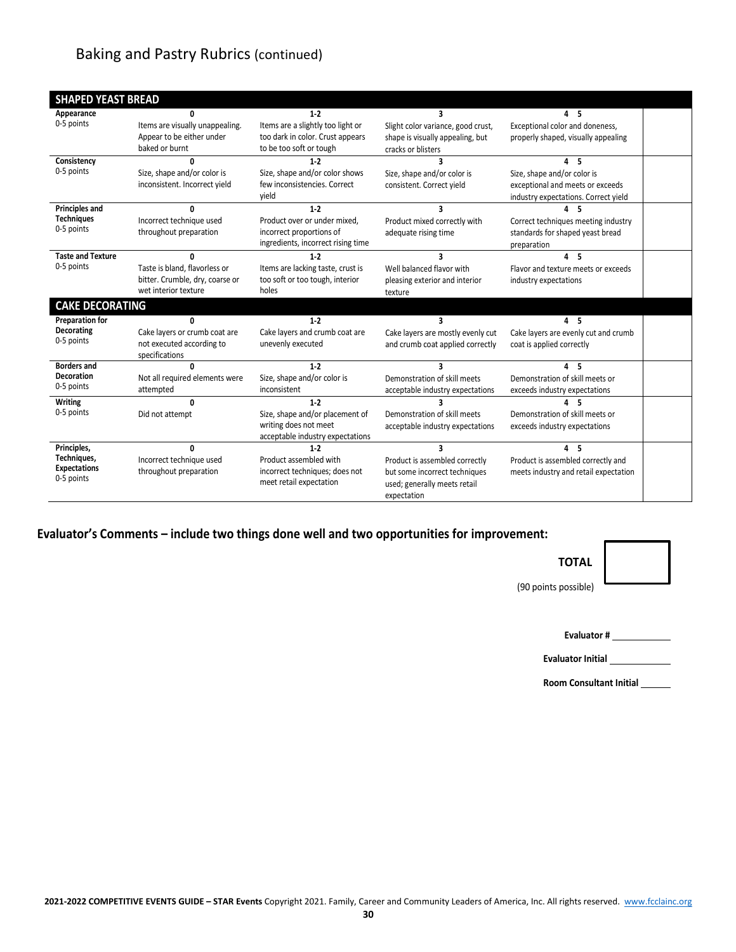## Baking and Pastry Rubrics (continued)

| <b>SHAPED YEAST BREAD</b>                                       |                                                                                              |                                                                                                           |                                                                                                                     |                                                                                                                           |  |
|-----------------------------------------------------------------|----------------------------------------------------------------------------------------------|-----------------------------------------------------------------------------------------------------------|---------------------------------------------------------------------------------------------------------------------|---------------------------------------------------------------------------------------------------------------------------|--|
| Appearance<br>0-5 points                                        | U<br>Items are visually unappealing.<br>Appear to be either under<br>baked or burnt          | $1-2$<br>Items are a slightly too light or<br>too dark in color. Crust appears<br>to be too soft or tough | Slight color variance, good crust,<br>shape is visually appealing, but<br>cracks or blisters                        | 45<br>Exceptional color and doneness,<br>properly shaped, visually appealing                                              |  |
| Consistency<br>0-5 points                                       | n<br>Size, shape and/or color is<br>inconsistent. Incorrect yield                            | $1-2$<br>Size, shape and/or color shows<br>few inconsistencies. Correct<br>vield                          | ર<br>Size, shape and/or color is<br>consistent. Correct yield                                                       | 4 <sub>5</sub><br>Size, shape and/or color is<br>exceptional and meets or exceeds<br>industry expectations. Correct yield |  |
| <b>Principles and</b><br><b>Techniques</b><br>0-5 points        | n<br>Incorrect technique used<br>throughout preparation                                      | $1-2$<br>Product over or under mixed.<br>incorrect proportions of<br>ingredients, incorrect rising time   | ર<br>Product mixed correctly with<br>adequate rising time                                                           | -5<br>Correct techniques meeting industry<br>standards for shaped yeast bread<br>preparation                              |  |
| <b>Taste and Texture</b><br>0-5 points                          | Taste is bland, flavorless or<br>bitter. Crumble, dry, coarse or<br>wet interior texture     | $1-2$<br>Items are lacking taste, crust is<br>too soft or too tough, interior<br>holes                    | 3<br>Well balanced flavor with<br>pleasing exterior and interior<br>texture                                         | 4 <sub>5</sub><br>Flavor and texture meets or exceeds<br>industry expectations                                            |  |
| <b>CAKE DECORATING</b>                                          |                                                                                              |                                                                                                           |                                                                                                                     |                                                                                                                           |  |
| <b>Preparation for</b><br><b>Decorating</b><br>0-5 points       | $\mathbf{r}$<br>Cake layers or crumb coat are<br>not executed according to<br>specifications | $1-2$<br>Cake layers and crumb coat are<br>unevenly executed                                              | $\overline{\mathbf{a}}$<br>Cake layers are mostly evenly cut<br>and crumb coat applied correctly                    | 4 <sub>5</sub><br>Cake layers are evenly cut and crumb<br>coat is applied correctly                                       |  |
| <b>Borders and</b><br><b>Decoration</b><br>0-5 points           | n<br>Not all required elements were<br>attempted                                             | $1-2$<br>Size, shape and/or color is<br>inconsistent                                                      | 3<br>Demonstration of skill meets<br>acceptable industry expectations                                               | 4 <sub>5</sub><br>Demonstration of skill meets or<br>exceeds industry expectations                                        |  |
| <b>Writing</b><br>0-5 points                                    | $\Omega$<br>Did not attempt                                                                  | $1-2$<br>Size, shape and/or placement of<br>writing does not meet<br>acceptable industry expectations     | Demonstration of skill meets<br>acceptable industry expectations                                                    | 5<br>Demonstration of skill meets or<br>exceeds industry expectations                                                     |  |
| Principles,<br>Techniques,<br><b>Expectations</b><br>0-5 points | $\mathbf{0}$<br>Incorrect technique used<br>throughout preparation                           | $1-2$<br>Product assembled with<br>incorrect techniques; does not<br>meet retail expectation              | 3<br>Product is assembled correctly<br>but some incorrect techniques<br>used; generally meets retail<br>expectation | 4 <sub>5</sub><br>Product is assembled correctly and<br>meets industry and retail expectation                             |  |

**Evaluator's Comments – include two things done well and two opportunities for improvement:**

# **TOTAL**

(90 points possible)

**Evaluator #**

**Evaluator Initial**

**Room Consultant Initial**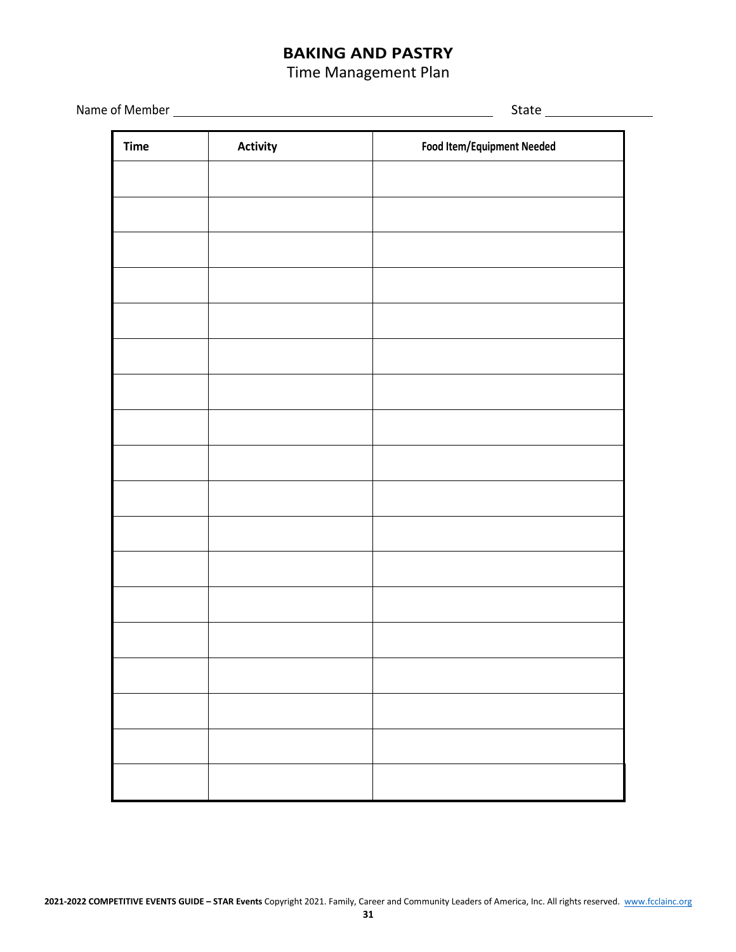## **BAKING AND PASTRY**

### Time Management Plan

Name of Member State Communication of Member State Communication of Member State Communication of State Communication of State Communication of State Communication of State Communication of State Communication of State Com

| <b>Time</b> | <b>Activity</b> | Food Item/Equipment Needed |
|-------------|-----------------|----------------------------|
|             |                 |                            |
|             |                 |                            |
|             |                 |                            |
|             |                 |                            |
|             |                 |                            |
|             |                 |                            |
|             |                 |                            |
|             |                 |                            |
|             |                 |                            |
|             |                 |                            |
|             |                 |                            |
|             |                 |                            |
|             |                 |                            |
|             |                 |                            |
|             |                 |                            |
|             |                 |                            |
|             |                 |                            |
|             |                 |                            |
|             |                 |                            |
|             |                 |                            |
|             |                 |                            |